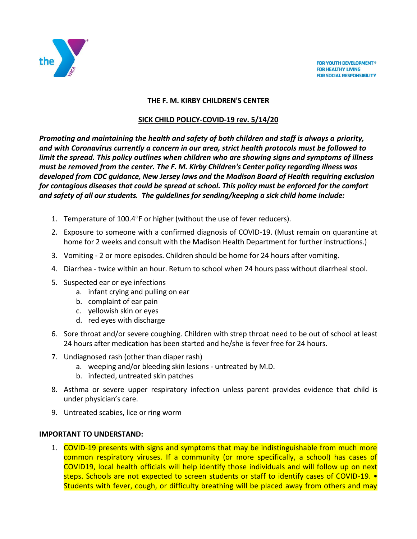

**FOR YOUTH DEVELOPMENT® FOR HEALTHY LIVING FOR SOCIAL RESPONSIBILITY** 

## **THE F. M. KIRBY CHILDREN'S CENTER**

## **SICK CHILD POLICY-COVID-19 rev. 5/14/20**

*Promoting and maintaining the health and safety of both children and staff is always a priority, and with Coronavirus currently a concern in our area, strict health protocols must be followed to limit the spread. This policy outlines when children who are showing signs and symptoms of illness must be removed from the center. The F. M. Kirby Children's Center policy regarding illness was developed from CDC guidance, New Jersey laws and the Madison Board of Health requiring exclusion for contagious diseases that could be spread at school. This policy must be enforced for the comfort and safety of all our students. The guidelines for sending/keeping a sick child home include:*

- 1. Temperature of  $100.4^{\circ}$ F or higher (without the use of fever reducers).
- 2. Exposure to someone with a confirmed diagnosis of COVID-19. (Must remain on quarantine at home for 2 weeks and consult with the Madison Health Department for further instructions.)
- 3. Vomiting 2 or more episodes. Children should be home for 24 hours after vomiting.
- 4. Diarrhea twice within an hour. Return to school when 24 hours pass without diarrheal stool.
- 5. Suspected ear or eye infections
	- a. infant crying and pulling on ear
	- b. complaint of ear pain
	- c. yellowish skin or eyes
	- d. red eyes with discharge
- 6. Sore throat and/or severe coughing. Children with strep throat need to be out of school at least 24 hours after medication has been started and he/she is fever free for 24 hours.
- 7. Undiagnosed rash (other than diaper rash)
	- a. weeping and/or bleeding skin lesions untreated by M.D.
	- b. infected, untreated skin patches
- 8. Asthma or severe upper respiratory infection unless parent provides evidence that child is under physician's care.
- 9. Untreated scabies, lice or ring worm

## **IMPORTANT TO UNDERSTAND:**

1. COVID-19 presents with signs and symptoms that may be indistinguishable from much more common respiratory viruses. If a community (or more specifically, a school) has cases of COVID19, local health officials will help identify those individuals and will follow up on next steps. Schools are not expected to screen students or staff to identify cases of COVID-19. • Students with fever, cough, or difficulty breathing will be placed away from others and may